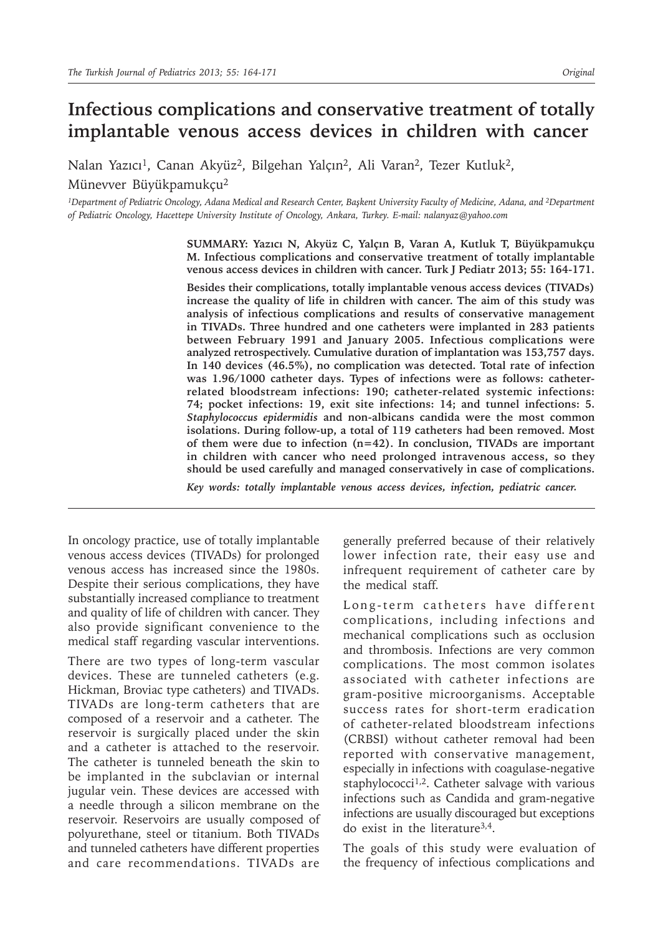# **Infectious complications and conservative treatment of totally implantable venous access devices in children with cancer**

Nalan Yazıcı<sup>1</sup>, Canan Akyüz<sup>2</sup>, Bilgehan Yalçın<sup>2</sup>, Ali Varan<sup>2</sup>, Tezer Kutluk<sup>2</sup>, Münevver Büyükpamukçu<sup>2</sup>

<sup>1</sup>*Department of Pediatric Oncology, Adana Medical and Research Center, Başkent University Faculty of Medicine, Adana, and <sup>2</sup>Department of Pediatric Oncology, Hacettepe University Institute of Oncology, Ankara, Turkey. E-mail: nalanyaz@yahoo.com*

> **SUMMARY: Yazıcı N, Akyüz C, Yalçın B, Varan A, Kutluk T, Büyükpamukçu M. Infectious complications and conservative treatment of totally implantable venous access devices in children with cancer. Turk J Pediatr 2013; 55: 164-171.**

> **Besides their complications, totally implantable venous access devices (TIVADs) increase the quality of life in children with cancer. The aim of this study was analysis of infectious complications and results of conservative management in TIVADs. Three hundred and one catheters were implanted in 283 patients between February 1991 and January 2005. Infectious complications were analyzed retrospectively. Cumulative duration of implantation was 153,757 days. In 140 devices (46.5%), no complication was detected. Total rate of infection was 1.96/1000 catheter days. Types of infections were as follows: catheterrelated bloodstream infections: 190; catheter-related systemic infections: 74; pocket infections: 19, exit site infections: 14; and tunnel infections: 5.**  *Staphylococcus epidermidis* **and non-albicans candida were the most common isolations. During follow-up, a total of 119 catheters had been removed. Most of them were due to infection (n=42). In conclusion, TIVADs are important in children with cancer who need prolonged intravenous access, so they should be used carefully and managed conservatively in case of complications.**

*Key words: totally implantable venous access devices, infection, pediatric cancer.*

In oncology practice, use of totally implantable venous access devices (TIVADs) for prolonged venous access has increased since the 1980s. Despite their serious complications, they have substantially increased compliance to treatment and quality of life of children with cancer. They also provide significant convenience to the medical staff regarding vascular interventions.

There are two types of long-term vascular devices. These are tunneled catheters (e.g. Hickman, Broviac type catheters) and TIVADs. TIVADs are long-term catheters that are composed of a reservoir and a catheter. The reservoir is surgically placed under the skin and a catheter is attached to the reservoir. The catheter is tunneled beneath the skin to be implanted in the subclavian or internal jugular vein. These devices are accessed with a needle through a silicon membrane on the reservoir. Reservoirs are usually composed of polyurethane, steel or titanium. Both TIVADs and tunneled catheters have different properties and care recommendations. TIVADs are

generally preferred because of their relatively lower infection rate, their easy use and infrequent requirement of catheter care by the medical staff.

Long-term catheters have different complications, including infections and mechanical complications such as occlusion and thrombosis. Infections are very common complications. The most common isolates associated with catheter infections are gram-positive microorganisms. Acceptable success rates for short-term eradication of catheter-related bloodstream infections (CRBSI) without catheter removal had been reported with conservative management, especially in infections with coagulase-negative staphylococci<sup>1,2</sup>. Catheter salvage with various infections such as Candida and gram-negative infections are usually discouraged but exceptions do exist in the literature3,4.

The goals of this study were evaluation of the frequency of infectious complications and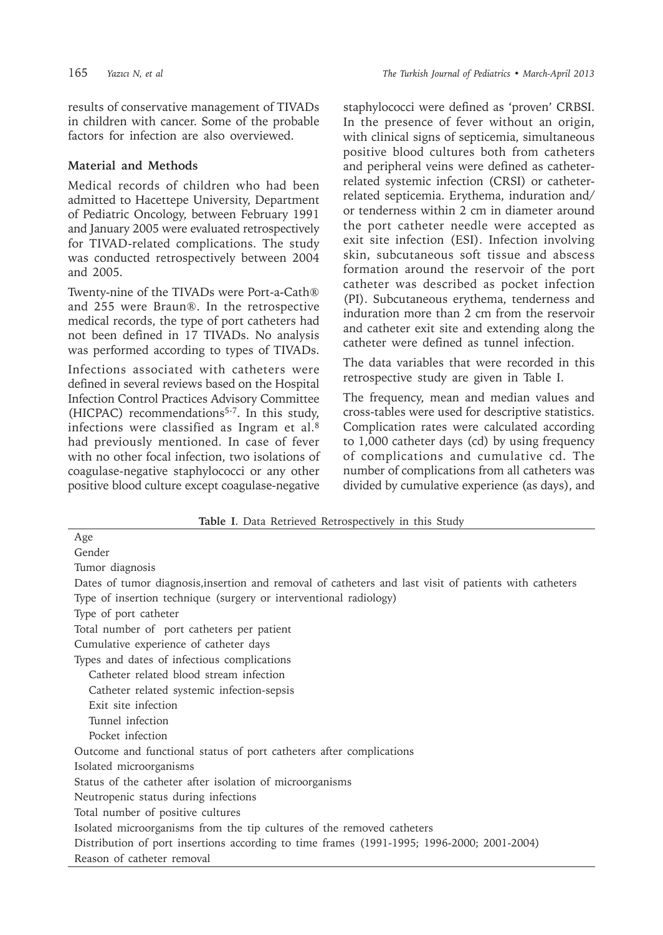results of conservative management of TIVADs in children with cancer. Some of the probable factors for infection are also overviewed.

### **Material and Methods**

Medical records of children who had been admitted to Hacettepe University, Department of Pediatric Oncology, between February 1991 and January 2005 were evaluated retrospectively for TIVAD-related complications. The study was conducted retrospectively between 2004 and 2005.

Twenty-nine of the TIVADs were Port-a-Cath® and 255 were Braun®. In the retrospective medical records, the type of port catheters had not been defined in 17 TIVADs. No analysis was performed according to types of TIVADs.

Infections associated with catheters were defined in several reviews based on the Hospital Infection Control Practices Advisory Committee (HICPAC) recommendations<sup>5-7</sup>. In this study, infections were classified as Ingram et al. $8$ had previously mentioned. In case of fever with no other focal infection, two isolations of coagulase-negative staphylococci or any other positive blood culture except coagulase-negative

staphylococci were defined as 'proven' CRBSI. In the presence of fever without an origin, with clinical signs of septicemia, simultaneous positive blood cultures both from catheters and peripheral veins were defined as catheterrelated systemic infection (CRSI) or catheterrelated septicemia. Erythema, induration and/ or tenderness within 2 cm in diameter around the port catheter needle were accepted as exit site infection (ESI). Infection involving skin, subcutaneous soft tissue and abscess formation around the reservoir of the port catheter was described as pocket infection (PI). Subcutaneous erythema, tenderness and induration more than 2 cm from the reservoir and catheter exit site and extending along the catheter were defined as tunnel infection.

The data variables that were recorded in this retrospective study are given in Table I.

The frequency, mean and median values and cross-tables were used for descriptive statistics. Complication rates were calculated according to 1,000 catheter days (cd) by using frequency of complications and cumulative cd. The number of complications from all catheters was divided by cumulative experience (as days), and

| Age                                                                                                    |
|--------------------------------------------------------------------------------------------------------|
| Gender                                                                                                 |
| Tumor diagnosis                                                                                        |
| Dates of tumor diagnosis, insertion and removal of catheters and last visit of patients with catheters |
| Type of insertion technique (surgery or interventional radiology)                                      |
| Type of port catheter                                                                                  |
| Total number of port catheters per patient                                                             |
| Cumulative experience of catheter days                                                                 |
| Types and dates of infectious complications                                                            |
| Catheter related blood stream infection                                                                |
| Catheter related systemic infection-sepsis                                                             |
| Exit site infection                                                                                    |
| Tunnel infection                                                                                       |
| Pocket infection                                                                                       |
| Outcome and functional status of port catheters after complications                                    |
| Isolated microorganisms                                                                                |
| Status of the catheter after isolation of microorganisms                                               |
| Neutropenic status during infections                                                                   |
| Total number of positive cultures                                                                      |
| Isolated microorganisms from the tip cultures of the removed catheters                                 |
| Distribution of port insertions according to time frames (1991-1995; 1996-2000; 2001-2004)             |
| Reason of catheter removal                                                                             |

**Table I**. Data Retrieved Retrospectively in this Study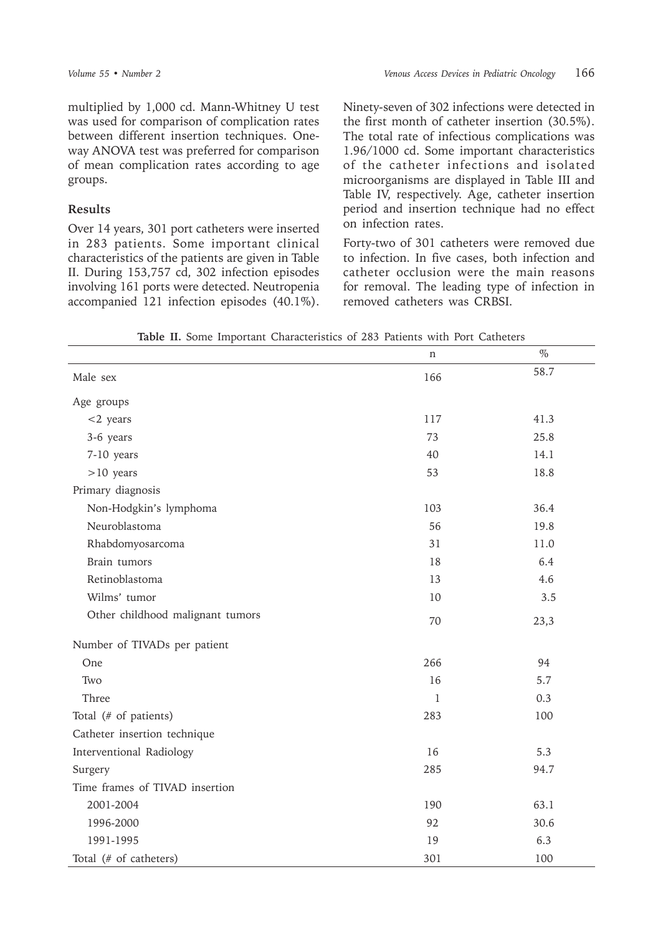multiplied by 1,000 cd. Mann-Whitney U test was used for comparison of complication rates between different insertion techniques. Oneway ANOVA test was preferred for comparison of mean complication rates according to age groups.

#### **Results**

Over 14 years, 301 port catheters were inserted in 283 patients. Some important clinical characteristics of the patients are given in Table II. During 153,757 cd, 302 infection episodes involving 161 ports were detected. Neutropenia accompanied 121 infection episodes (40.1%). Ninety-seven of 302 infections were detected in the first month of catheter insertion (30.5%). The total rate of infectious complications was 1.96/1000 cd. Some important characteristics of the catheter infections and isolated microorganisms are displayed in Table III and Table IV, respectively. Age, catheter insertion period and insertion technique had no effect on infection rates.

Forty-two of 301 catheters were removed due to infection. In five cases, both infection and catheter occlusion were the main reasons for removal. The leading type of infection in removed catheters was CRBSI.

|                                  | n           | $\%$ |
|----------------------------------|-------------|------|
| Male sex                         | 166         | 58.7 |
| Age groups                       |             |      |
| $<$ 2 years                      | 117         | 41.3 |
| 3-6 years                        | 73          | 25.8 |
| 7-10 years                       | 40          | 14.1 |
| $>10$ years                      | 53          | 18.8 |
| Primary diagnosis                |             |      |
| Non-Hodgkin's lymphoma           | 103         | 36.4 |
| Neuroblastoma                    | 56          | 19.8 |
| Rhabdomyosarcoma                 | 31          | 11.0 |
| Brain tumors                     | 18          | 6.4  |
| Retinoblastoma                   | 13          | 4.6  |
| Wilms' tumor                     | 10          | 3.5  |
| Other childhood malignant tumors | 70          | 23,3 |
| Number of TIVADs per patient     |             |      |
| One                              | 266         | 94   |
| Two                              | 16          | 5.7  |
| Three                            | $\mathbf 1$ | 0.3  |
| Total (# of patients)            | 283         | 100  |
| Catheter insertion technique     |             |      |
| Interventional Radiology         | 16          | 5.3  |
| Surgery                          | 285         | 94.7 |
| Time frames of TIVAD insertion   |             |      |
| 2001-2004                        | 190         | 63.1 |
| 1996-2000                        | 92          | 30.6 |
| 1991-1995                        | 19          | 6.3  |
| Total (# of catheters)           | 301         | 100  |

**Table II.** Some Important Characteristics of 283 Patients with Port Catheters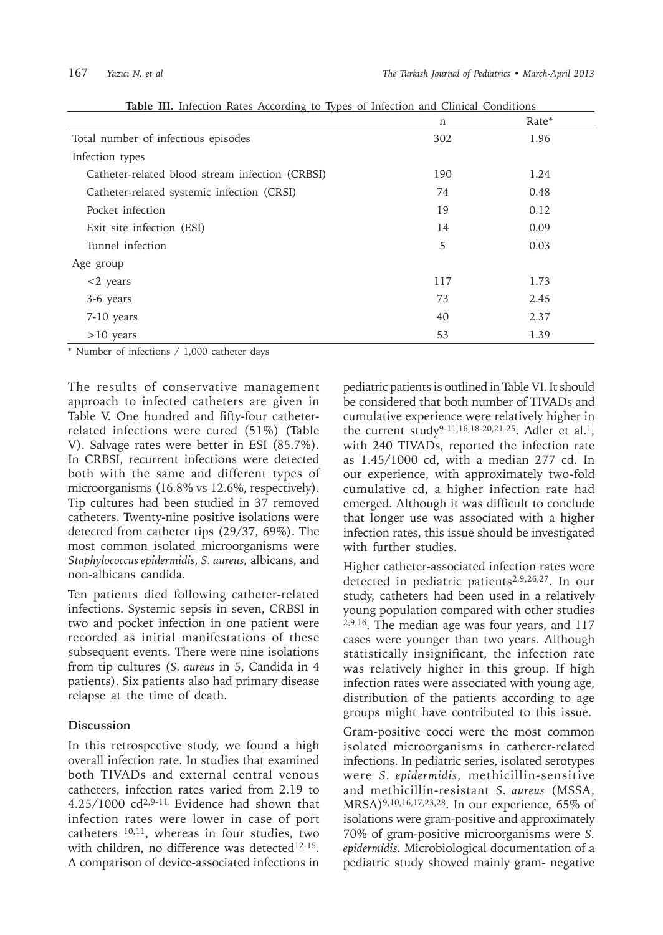| <b>Table III.</b> Intection Rates According to Types of Intection and Chineal Conditions | n   | Rate* |
|------------------------------------------------------------------------------------------|-----|-------|
| Total number of infectious episodes                                                      | 302 | 1.96  |
| Infection types                                                                          |     |       |
| Catheter-related blood stream infection (CRBSI)                                          | 190 | 1.24  |
| Catheter-related systemic infection (CRSI)                                               | 74  | 0.48  |
| Pocket infection                                                                         | 19  | 0.12  |
| Exit site infection (ESI)                                                                | 14  | 0.09  |
| Tunnel infection                                                                         | 5   | 0.03  |
| Age group                                                                                |     |       |
| $<$ 2 years                                                                              | 117 | 1.73  |
| 3-6 years                                                                                | 73  | 2.45  |
| 7-10 years                                                                               | 40  | 2.37  |
| $>10$ years                                                                              | 53  | 1.39  |

**Table III.** Infection Rates According to Types of Infection and Clinical Conditions

\* Number of infections / 1,000 catheter days

The results of conservative management approach to infected catheters are given in Table V. One hundred and fifty-four catheterrelated infections were cured (51%) (Table V). Salvage rates were better in ESI (85.7%). In CRBSI, recurrent infections were detected both with the same and different types of microorganisms (16.8% vs 12.6%, respectively). Tip cultures had been studied in 37 removed catheters. Twenty-nine positive isolations were detected from catheter tips (29/37, 69%). The most common isolated microorganisms were *Staphylococcus epidermidis, S. aureus,* albicans, and non-albicans candida.

Ten patients died following catheter-related infections. Systemic sepsis in seven, CRBSI in two and pocket infection in one patient were recorded as initial manifestations of these subsequent events. There were nine isolations from tip cultures (*S. aureus* in 5, Candida in 4 patients). Six patients also had primary disease relapse at the time of death.

## **Discussion**

In this retrospective study, we found a high overall infection rate. In studies that examined both TIVADs and external central venous catheters, infection rates varied from 2.19 to 4.25/1000 cd2,9-11. Evidence had shown that infection rates were lower in case of port catheters 10,11, whereas in four studies, two with children, no difference was detected<sup>12-15</sup>. A comparison of device-associated infections in

pediatric patients is outlined in Table VI. It should be considered that both number of TIVADs and cumulative experience were relatively higher in the current study<sup>9-11,16,18-20,21-25</sup>. Adler et al.<sup>1</sup>, with 240 TIVADs, reported the infection rate as 1.45/1000 cd, with a median 277 cd. In our experience, with approximately two-fold cumulative cd, a higher infection rate had emerged. Although it was difficult to conclude that longer use was associated with a higher infection rates, this issue should be investigated with further studies.

Higher catheter-associated infection rates were detected in pediatric patients2,9,26,27. In our study, catheters had been used in a relatively young population compared with other studies 2,9,16. The median age was four years, and 117 cases were younger than two years. Although statistically insignificant, the infection rate was relatively higher in this group. If high infection rates were associated with young age, distribution of the patients according to age groups might have contributed to this issue.

Gram-positive cocci were the most common isolated microorganisms in catheter-related infections. In pediatric series, isolated serotypes were *S. epidermidis*, methicillin-sensitive and methicillin-resistant *S. aureus* (MSSA, MRSA)9,10,16,17,23,28. In our experience, 65% of isolations were gram-positive and approximately 70% of gram-positive microorganisms were *S. epidermidis.* Microbiological documentation of a pediatric study showed mainly gram- negative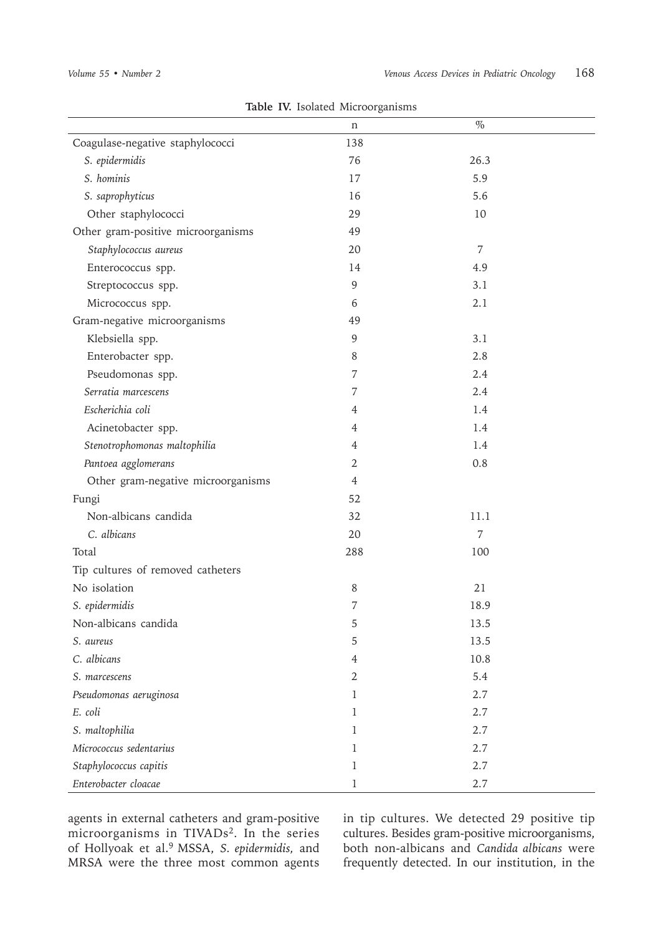| radic TV. ISOlated MICTOOL SAILISHIS<br>$\%$<br>n |                |      |  |  |
|---------------------------------------------------|----------------|------|--|--|
| Coagulase-negative staphylococci                  | 138            |      |  |  |
| S. epidermidis                                    | 76             | 26.3 |  |  |
| S. hominis                                        | 17             | 5.9  |  |  |
| S. saprophyticus                                  | 16             | 5.6  |  |  |
| Other staphylococci                               | 29             | 10   |  |  |
| Other gram-positive microorganisms                | 49             |      |  |  |
| Staphylococcus aureus                             | 20             | 7    |  |  |
| Enterococcus spp.                                 | 14             | 4.9  |  |  |
| Streptococcus spp.                                | 9              | 3.1  |  |  |
| Micrococcus spp.                                  | 6              | 2.1  |  |  |
| Gram-negative microorganisms                      | 49             |      |  |  |
| Klebsiella spp.                                   | 9              | 3.1  |  |  |
| Enterobacter spp.                                 | 8              | 2.8  |  |  |
| Pseudomonas spp.                                  | 7              | 2.4  |  |  |
| Serratia marcescens                               | 7              | 2.4  |  |  |
| Escherichia coli                                  | 4              | 1.4  |  |  |
| Acinetobacter spp.                                | 4              | 1.4  |  |  |
| Stenotrophomonas maltophilia                      | 4              | 1.4  |  |  |
| Pantoea agglomerans                               | 2              | 0.8  |  |  |
| Other gram-negative microorganisms                | $\overline{4}$ |      |  |  |
| Fungi                                             | 52             |      |  |  |
| Non-albicans candida                              | 32             | 11.1 |  |  |
| C. albicans                                       | 20             | 7    |  |  |
| Total                                             | 288            | 100  |  |  |
| Tip cultures of removed catheters                 |                |      |  |  |
| No isolation                                      | 8              | 21   |  |  |
| S. epidermidis                                    | 7              | 18.9 |  |  |
| Non-albicans candida                              | 5              | 13.5 |  |  |
| S. aureus                                         | 5              | 13.5 |  |  |
| C. albicans                                       | 4              | 10.8 |  |  |
| S. marcescens                                     | $\overline{2}$ | 5.4  |  |  |
| Pseudomonas aeruginosa                            | $\mathbf{1}$   | 2.7  |  |  |
| E. coli                                           | 1              | 2.7  |  |  |
| S. maltophilia                                    | 1              | 2.7  |  |  |
| Micrococcus sedentarius                           | 1              | 2.7  |  |  |
| Staphylococcus capitis                            | 1              | 2.7  |  |  |
| Enterobacter cloacae                              | 1              | 2.7  |  |  |

**Table IV.** Isolated Microorganisms

agents in external catheters and gram-positive microorganisms in TIVADs<sup>2</sup>. In the series of Hollyoak et al.9 MSSA, *S. epidermidis,* and MRSA were the three most common agents

in tip cultures. We detected 29 positive tip cultures. Besides gram-positive microorganisms, both non-albicans and *Candida albicans* were frequently detected. In our institution, in the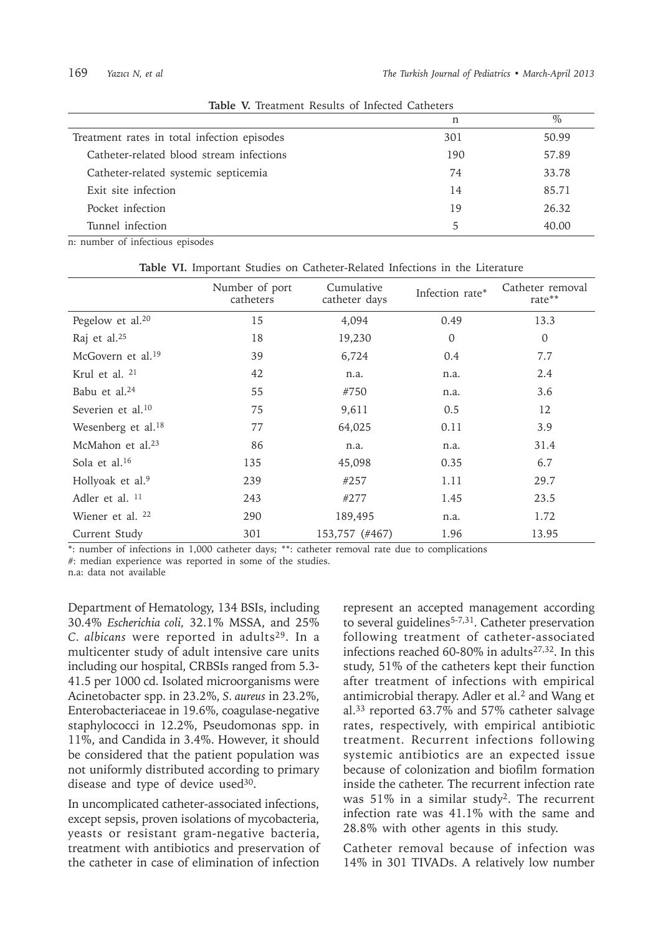|                                             | n   | $\frac{0}{0}$ |
|---------------------------------------------|-----|---------------|
| Treatment rates in total infection episodes | 301 | 50.99         |
| Catheter-related blood stream infections    | 190 | 57.89         |
| Catheter-related systemic septicemia        | 74  | 33.78         |
| Exit site infection                         | 14  | 85.71         |
| Pocket infection                            | 19  | 26.32         |
| Tunnel infection                            | 5   | 40.00         |

**Table V.** Treatment Results of Infected Catheters

n: number of infectious episodes

|                               | Number of port<br>catheters | Cumulative<br>catheter days | Infection rate* | Catheter removal<br>rate** |
|-------------------------------|-----------------------------|-----------------------------|-----------------|----------------------------|
| Pegelow et al. <sup>20</sup>  | 15                          | 4,094                       | 0.49            | 13.3                       |
| Raj et al. <sup>25</sup>      | 18                          | 19,230                      | $\mathbf 0$     | $\overline{0}$             |
| McGovern et al. <sup>19</sup> | 39                          | 6,724                       | 0.4             | 7.7                        |
| Krul et al. <sup>21</sup>     | 42                          | n.a.                        | n.a.            | 2.4                        |
| Babu et al. <sup>24</sup>     | 55                          | #750                        | n.a.            | 3.6                        |
| Severien et al. <sup>10</sup> | 75                          | 9,611                       | 0.5             | 12                         |
| Wesenberg et al. $18$         | 77                          | 64,025                      | 0.11            | 3.9                        |
| McMahon et al. $23$           | 86                          | n.a.                        | n.a.            | 31.4                       |
| Sola et al. $16$              | 135                         | 45,098                      | 0.35            | 6.7                        |
| Hollyoak et al. <sup>9</sup>  | 239                         | #257                        | 1.11            | 29.7                       |
| Adler et al. <sup>11</sup>    | 243                         | #277                        | 1.45            | 23.5                       |
| Wiener et al. 22              | 290                         | 189,495                     | n.a.            | 1.72                       |
| Current Study                 | 301                         | 153,757 (#467)              | 1.96            | 13.95                      |

**Table VI.** Important Studies on Catheter-Related Infections in the Literature

\*: number of infections in 1,000 catheter days; \*\*: catheter removal rate due to complications

#: median experience was reported in some of the studies.

n.a: data not available

Department of Hematology, 134 BSIs, including 30.4% *Escherichia coli,* 32.1% MSSA, and 25% *C. albicans* were reported in adults<sup>29</sup>. In a multicenter study of adult intensive care units including our hospital, CRBSIs ranged from 5.3- 41.5 per 1000 cd. Isolated microorganisms were Acinetobacter spp. in 23.2%, *S. aureus* in 23.2%, Enterobacteriaceae in 19.6%, coagulase-negative staphylococci in 12.2%, Pseudomonas spp. in 11%, and Candida in 3.4%. However, it should be considered that the patient population was not uniformly distributed according to primary disease and type of device used $30$ .

In uncomplicated catheter-associated infections, except sepsis, proven isolations of mycobacteria, yeasts or resistant gram-negative bacteria, treatment with antibiotics and preservation of the catheter in case of elimination of infection

represent an accepted management according to several guidelines<sup>5-7,31</sup>. Catheter preservation following treatment of catheter-associated infections reached 60-80% in adults27,32. In this study, 51% of the catheters kept their function after treatment of infections with empirical antimicrobial therapy. Adler et al.<sup>2</sup> and Wang et al.<sup>33</sup> reported 63.7% and 57% catheter salvage rates, respectively, with empirical antibiotic treatment. Recurrent infections following systemic antibiotics are an expected issue because of colonization and biofilm formation inside the catheter. The recurrent infection rate was 51% in a similar study<sup>2</sup>. The recurrent infection rate was 41.1% with the same and 28.8% with other agents in this study.

Catheter removal because of infection was 14% in 301 TIVADs. A relatively low number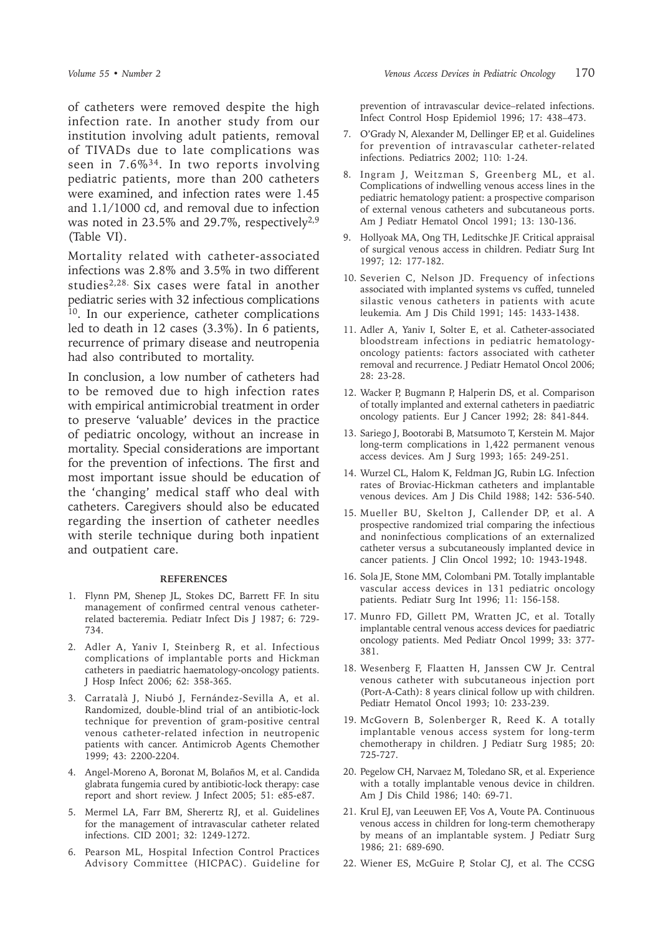of catheters were removed despite the high infection rate. In another study from our institution involving adult patients, removal of TIVADs due to late complications was seen in 7.6%<sup>34</sup>. In two reports involving pediatric patients, more than 200 catheters were examined, and infection rates were 1.45 and 1.1/1000 cd, and removal due to infection was noted in 23.5% and 29.7%, respectively $2.9$ (Table VI).

Mortality related with catheter-associated infections was 2.8% and 3.5% in two different studies2,28. Six cases were fatal in another pediatric series with 32 infectious complications <sup>10</sup>. In our experience, catheter complications led to death in 12 cases (3.3%). In 6 patients, recurrence of primary disease and neutropenia had also contributed to mortality.

In conclusion, a low number of catheters had to be removed due to high infection rates with empirical antimicrobial treatment in order to preserve 'valuable' devices in the practice of pediatric oncology, without an increase in mortality. Special considerations are important for the prevention of infections. The first and most important issue should be education of the 'changing' medical staff who deal with catheters. Caregivers should also be educated regarding the insertion of catheter needles with sterile technique during both inpatient and outpatient care.

#### **REFERENCES**

- 1. Flynn PM, Shenep JL, Stokes DC, Barrett FF. In situ management of confirmed central venous catheterrelated bacteremia. Pediatr Infect Dis J 1987; 6: 729- 734.
- 2. Adler A, Yaniv I, Steinberg R, et al. Infectious complications of implantable ports and Hickman catheters in paediatric haematology-oncology patients. J Hosp Infect 2006; 62: 358-365.
- 3. Carratalà J, Niubó J, Fernández-Sevilla A, et al. Randomized, double-blind trial of an antibiotic-lock technique for prevention of gram-positive central venous catheter-related infection in neutropenic patients with cancer. Antimicrob Agents Chemother 1999; 43: 2200-2204.
- 4. Angel-Moreno A, Boronat M, Bolaños M, et al. Candida glabrata fungemia cured by antibiotic-lock therapy: case report and short review. J Infect 2005; 51: e85-e87.
- 5. Mermel LA, Farr BM, Sherertz RJ, et al. Guidelines for the management of intravascular catheter related infections. CID 2001; 32: 1249-1272.
- 6. Pearson ML, Hospital Infection Control Practices Advisory Committee (HICPAC). Guideline for

prevention of intravascular device–related infections. Infect Control Hosp Epidemiol 1996; 17: 438–473.

- 7. O'Grady N, Alexander M, Dellinger EP, et al. Guidelines for prevention of intravascular catheter-related infections. Pediatrics 2002; 110: 1-24.
- 8. Ingram J, Weitzman S, Greenberg ML, et al. Complications of indwelling venous access lines in the pediatric hematology patient: a prospective comparison of external venous catheters and subcutaneous ports. Am J Pediatr Hematol Oncol 1991; 13: 130-136.
- 9. Hollyoak MA, Ong TH, Leditschke JF. Critical appraisal of surgical venous access in children. Pediatr Surg Int 1997; 12: 177-182.
- 10. Severien C, Nelson JD. Frequency of infections associated with implanted systems vs cuffed, tunneled silastic venous catheters in patients with acute leukemia. Am J Dis Child 1991; 145: 1433-1438.
- 11. Adler A, Yaniv I, Solter E, et al. Catheter-associated bloodstream infections in pediatric hematologyoncology patients: factors associated with catheter removal and recurrence. J Pediatr Hematol Oncol 2006; 28: 23-28.
- 12. Wacker P, Bugmann P, Halperin DS, et al. Comparison of totally implanted and external catheters in paediatric oncology patients. Eur J Cancer 1992; 28: 841-844.
- 13. Sariego J, Bootorabi B, Matsumoto T, Kerstein M. Major long-term complications in 1,422 permanent venous access devices. Am J Surg 1993; 165: 249-251.
- 14. Wurzel CL, Halom K, Feldman JG, Rubin LG. Infection rates of Broviac-Hickman catheters and implantable venous devices. Am J Dis Child 1988; 142: 536-540.
- 15. Mueller BU, Skelton J, Callender DP, et al. A prospective randomized trial comparing the infectious and noninfectious complications of an externalized catheter versus a subcutaneously implanted device in cancer patients. J Clin Oncol 1992; 10: 1943-1948.
- 16. Sola JE, Stone MM, Colombani PM. Totally implantable vascular access devices in 131 pediatric oncology patients. Pediatr Surg Int 1996; 11: 156-158.
- 17. Munro FD, Gillett PM, Wratten JC, et al. Totally implantable central venous access devices for paediatric oncology patients. Med Pediatr Oncol 1999; 33: 377- 381.
- 18. Wesenberg F, Flaatten H, Janssen CW Jr. Central venous catheter with subcutaneous injection port (Port-A-Cath): 8 years clinical follow up with children. Pediatr Hematol Oncol 1993; 10: 233-239.
- 19. McGovern B, Solenberger R, Reed K. A totally implantable venous access system for long-term chemotherapy in children. J Pediatr Surg 1985; 20: 725-727.
- 20. Pegelow CH, Narvaez M, Toledano SR, et al. Experience with a totally implantable venous device in children. Am J Dis Child 1986; 140: 69-71.
- 21. Krul EJ, van Leeuwen EF, Vos A, Voute PA. Continuous venous access in children for long-term chemotherapy by means of an implantable system. J Pediatr Surg 1986; 21: 689-690.
- 22. Wiener ES, McGuire P, Stolar CJ, et al. The CCSG